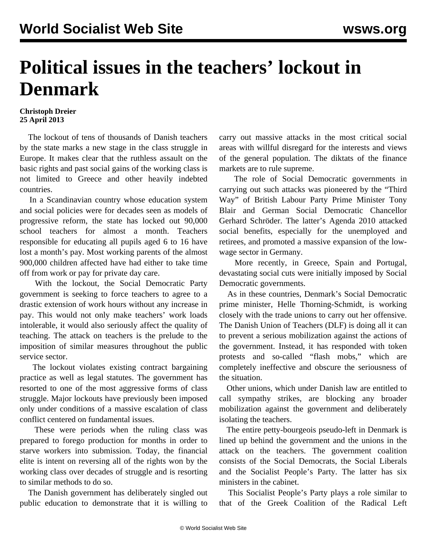## **Political issues in the teachers' lockout in Denmark**

## **Christoph Dreier 25 April 2013**

 The lockout of tens of thousands of Danish teachers by the state marks a new stage in the class struggle in Europe. It makes clear that the ruthless assault on the basic rights and past social gains of the working class is not limited to Greece and other heavily indebted countries.

 In a Scandinavian country whose education system and social policies were for decades seen as models of progressive reform, the state has locked out 90,000 school teachers for almost a month. Teachers responsible for educating all pupils aged 6 to 16 have lost a month's pay. Most working parents of the almost 900,000 children affected have had either to take time off from work or pay for private day care.

 With the lockout, the Social Democratic Party government is seeking to force teachers to agree to a drastic extension of work hours without any increase in pay. This would not only make teachers' work loads intolerable, it would also seriously affect the quality of teaching. The attack on teachers is the prelude to the imposition of similar measures throughout the public service sector.

 The lockout violates existing contract bargaining practice as well as legal statutes. The government has resorted to one of the most aggressive forms of class struggle. Major lockouts have previously been imposed only under conditions of a massive escalation of class conflict centered on fundamental issues.

 These were periods when the ruling class was prepared to forego production for months in order to starve workers into submission. Today, the financial elite is intent on reversing all of the rights won by the working class over decades of struggle and is resorting to similar methods to do so.

 The Danish government has deliberately singled out public education to demonstrate that it is willing to

carry out massive attacks in the most critical social areas with willful disregard for the interests and views of the general population. The diktats of the finance markets are to rule supreme.

 The role of Social Democratic governments in carrying out such attacks was pioneered by the "Third Way" of British Labour Party Prime Minister Tony Blair and German Social Democratic Chancellor Gerhard Schröder. The latter's Agenda 2010 attacked social benefits, especially for the unemployed and retirees, and promoted a massive expansion of the lowwage sector in Germany.

 More recently, in Greece, Spain and Portugal, devastating social cuts were initially imposed by Social Democratic governments.

 As in these countries, Denmark's Social Democratic prime minister, Helle Thorning-Schmidt, is working closely with the trade unions to carry out her offensive. The Danish Union of Teachers (DLF) is doing all it can to prevent a serious mobilization against the actions of the government. Instead, it has responded with token protests and so-called "flash mobs," which are completely ineffective and obscure the seriousness of the situation.

 Other unions, which under Danish law are entitled to call sympathy strikes, are blocking any broader mobilization against the government and deliberately isolating the teachers.

 The entire petty-bourgeois pseudo-left in Denmark is lined up behind the government and the unions in the attack on the teachers. The government coalition consists of the Social Democrats, the Social Liberals and the Socialist People's Party. The latter has six ministers in the cabinet.

 This Socialist People's Party plays a role similar to that of the Greek Coalition of the Radical Left